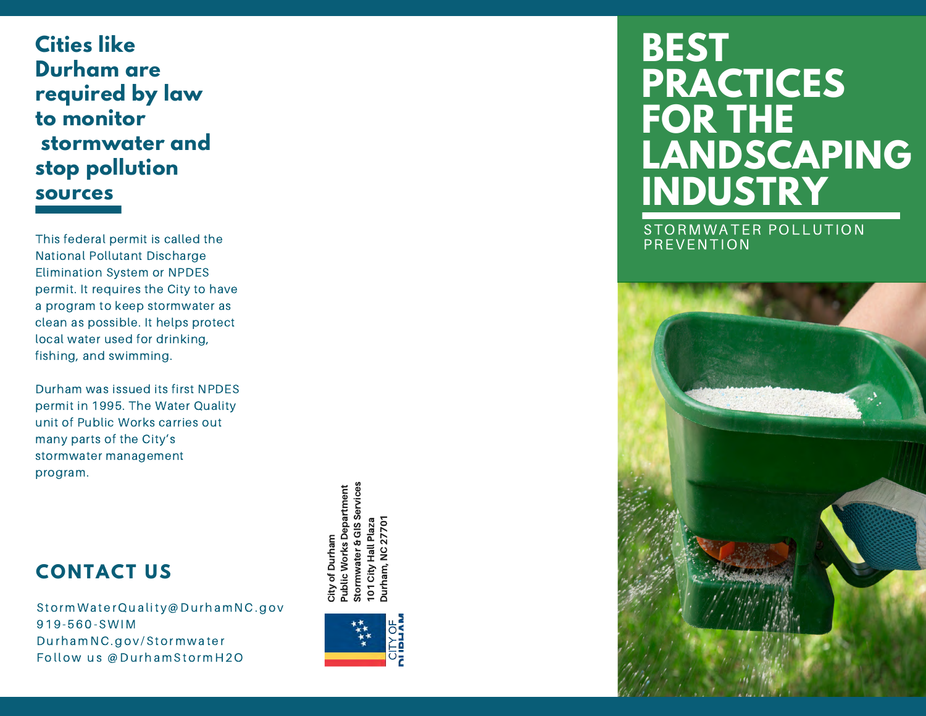**Cities like Durham are required by law to monitor stormwater and stop pollution sources** 

This federal permit is called the National Pollutant Discharge Elimination System or NPDES permit. It requires the City to have a program to keep stormwater as clean as possible. It helps protect local water used for drinking, fishing, and swimming.

Durham was issued its first NPDES permit in 1995. The Water Quality unit of Public Works carries out many parts of the City ' s stormwater management program.

> Stormwater & GIS Services Public Works Department epartment Durham, NC 27701 Durham, NC 27701101 City Hall Plaza City of Durham **Hall** City 5

### **CONTACT US**

S t o rmW a t e r Q u a l i t y @D u r h am N C . g o v 919-560-SWIM Durham NC.gov/Stormwater Follow us @DurhamStormH2O



# **BEST PRACTICES FOR THE LANDSCAPING INDUSTRY**

STORMWATER POLLUTION PREVENTION